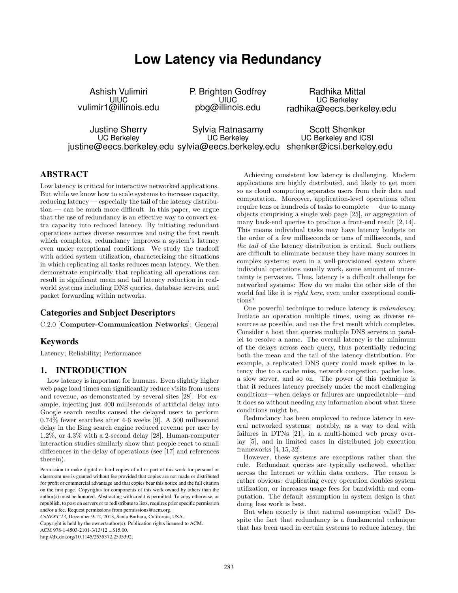# **Low Latency via Redundancy**

Ashish Vulimiri UIUC vulimir1@illinois.edu P. Brighten Godfrey UIUC pbg@illinois.edu

Radhika Mittal UC Berkeley radhika@eecs.berkeley.edu

Justine Sherry UC Berkeley justine@eecs.berkeley.edu sylvia@eecs.berkeley.edu shenker@icsi.berkeley.edu Sylvia Ratnasamy UC Berkeley Scott Shenker UC Berkeley and ICSI

# ABSTRACT

Low latency is critical for interactive networked applications. But while we know how to scale systems to increase capacity, reducing latency — especially the tail of the latency distribu- $\tau$  tion — can be much more difficult. In this paper, we argue that the use of redundancy is an effective way to convert extra capacity into reduced latency. By initiating redundant operations across diverse resources and using the first result which completes, redundancy improves a system's latency even under exceptional conditions. We study the tradeoff with added system utilization, characterizing the situations in which replicating all tasks reduces mean latency. We then demonstrate empirically that replicating all operations can result in significant mean and tail latency reduction in realworld systems including DNS queries, database servers, and packet forwarding within networks.

# Categories and Subject Descriptors

C.2.0 [Computer-Communication Networks]: General

## Keywords

Latency; Reliability; Performance

# 1. INTRODUCTION

Low latency is important for humans. Even slightly higher web page load times can significantly reduce visits from users and revenue, as demonstrated by several sites [28]. For example, injecting just 400 milliseconds of artificial delay into Google search results caused the delayed users to perform 0.74% fewer searches after 4-6 weeks [9]. A 500 millisecond delay in the Bing search engine reduced revenue per user by 1.2%, or 4.3% with a 2-second delay [28]. Human-computer interaction studies similarly show that people react to small differences in the delay of operations (see [17] and references therein).

*CoNEXT'13,* December 9-12, 2013, Santa Barbara, California, USA.

Copyright is held by the owner/author(s). Publication rights licensed to ACM.

ACM 978-1-4503-2101-3/13/12 ...\$15.00.

http://dx.doi.org/10.1145/2535372.2535392.

Achieving consistent low latency is challenging. Modern applications are highly distributed, and likely to get more so as cloud computing separates users from their data and computation. Moreover, application-level operations often require tens or hundreds of tasks to complete — due to many objects comprising a single web page [25], or aggregation of many back-end queries to produce a front-end result [2, 14]. This means individual tasks may have latency budgets on the order of a few milliseconds or tens of milliseconds, and the tail of the latency distribution is critical. Such outliers are difficult to eliminate because they have many sources in complex systems; even in a well-provisioned system where individual operations usually work, some amount of uncertainty is pervasive. Thus, latency is a difficult challenge for networked systems: How do we make the other side of the world feel like it is right here, even under exceptional conditions?

One powerful technique to reduce latency is redundancy: Initiate an operation multiple times, using as diverse resources as possible, and use the first result which completes. Consider a host that queries multiple DNS servers in parallel to resolve a name. The overall latency is the minimum of the delays across each query, thus potentially reducing both the mean and the tail of the latency distribution. For example, a replicated DNS query could mask spikes in latency due to a cache miss, network congestion, packet loss, a slow server, and so on. The power of this technique is that it reduces latency precisely under the most challenging conditions—when delays or failures are unpredictable—and it does so without needing any information about what these conditions might be.

Redundancy has been employed to reduce latency in several networked systems: notably, as a way to deal with failures in DTNs [21], in a multi-homed web proxy overlay [5], and in limited cases in distributed job execution frameworks [4, 15, 32].

However, these systems are exceptions rather than the rule. Redundant queries are typically eschewed, whether across the Internet or within data centers. The reason is rather obvious: duplicating every operation doubles system utilization, or increases usage fees for bandwidth and computation. The default assumption in system design is that doing less work is best.

But when exactly is that natural assumption valid? Despite the fact that redundancy is a fundamental technique that has been used in certain systems to reduce latency, the

Permission to make digital or hard copies of all or part of this work for personal or classroom use is granted without fee provided that copies are not made or distributed for profit or commercial advantage and that copies bear this notice and the full citation on the first page. Copyrights for components of this work owned by others than the author(s) must be honored. Abstracting with credit is permitted. To copy otherwise, or republish, to post on servers or to redistribute to lists, requires prior specific permission and/or a fee. Request permissions from permissions@acm.org.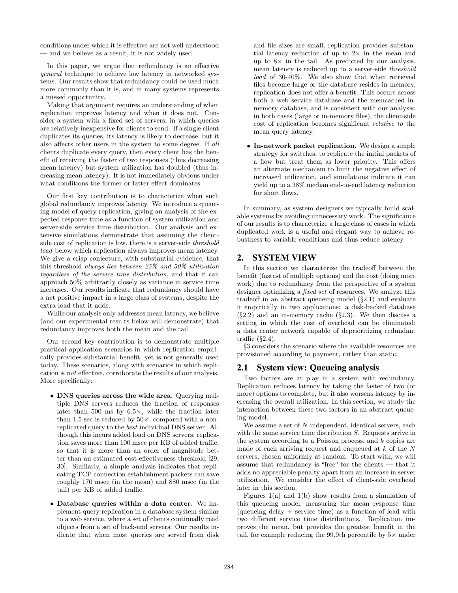conditions under which it is effective are not well understood — and we believe as a result, it is not widely used.

In this paper, we argue that redundancy is an effective general technique to achieve low latency in networked systems. Our results show that redundancy could be used much more commonly than it is, and in many systems represents a missed opportunity.

Making that argument requires an understanding of when replication improves latency and when it does not. Consider a system with a fixed set of servers, in which queries are relatively inexpensive for clients to send. If a single client duplicates its queries, its latency is likely to decrease, but it also affects other users in the system to some degree. If all clients duplicate every query, then every client has the benefit of receiving the faster of two responses (thus decreasing mean latency) but system utilization has doubled (thus increasing mean latency). It is not immediately obvious under what conditions the former or latter effect dominates.

Our first key contribution is to characterize when such global redundancy improves latency. We introduce a queueing model of query replication, giving an analysis of the expected response time as a function of system utilization and server-side service time distribution. Our analysis and extensive simulations demonstrate that assuming the clientside cost of replication is low, there is a server-side threshold load below which replication always improves mean latency. We give a crisp conjecture, with substantial evidence, that this threshold always lies between 25% and 50% utilization regardless of the service time distribution, and that it can approach 50% arbitrarily closely as variance in service time increases. Our results indicate that redundancy should have a net positive impact in a large class of systems, despite the extra load that it adds.

While our analysis only addresses mean latency, we believe (and our experimental results below will demonstrate) that redundancy improves both the mean and the tail.

Our second key contribution is to demonstrate multiple practical application scenarios in which replication empirically provides substantial benefit, yet is not generally used today. These scenarios, along with scenarios in which replication is not effective, corroborate the results of our analysis. More specifically:

- DNS queries across the wide area. Querying multiple DNS servers reduces the fraction of responses later than 500 ms by 6.5×, while the fraction later than 1.5 sec is reduced by 50×, compared with a nonreplicated query to the best individual DNS server. Although this incurs added load on DNS servers, replication saves more than 100 msec per KB of added traffic, so that it is more than an order of magnitude better than an estimated cost-effectiveness threshold [29, 30]. Similarly, a simple analysis indicates that replicating TCP connection establishment packets can save roughly 170 msec (in the mean) and 880 msec (in the tail) per KB of added traffic.
- Database queries within a data center. We implement query replication in a database system similar to a web service, where a set of clients continually read objects from a set of back-end servers. Our results indicate that when most queries are served from disk

and file sizes are small, replication provides substantial latency reduction of up to  $2\times$  in the mean and up to  $8\times$  in the tail. As predicted by our analysis, mean latency is reduced up to a server-side threshold load of 30-40%. We also show that when retrieved files become large or the database resides in memory, replication does not offer a benefit. This occurs across both a web service database and the memcached inmemory database, and is consistent with our analysis: in both cases (large or in-memory files), the client-side cost of replication becomes significant relative to the mean query latency.

• In-network packet replication. We design a simple strategy for switches, to replicate the initial packets of a flow but treat them as lower priority. This offers an alternate mechanism to limit the negative effect of increased utilization, and simulations indicate it can yield up to a 38% median end-to-end latency reduction for short flows.

In summary, as system designers we typically build scalable systems by avoiding unnecessary work. The significance of our results is to characterize a large class of cases in which duplicated work is a useful and elegant way to achieve robustness to variable conditions and thus reduce latency.

# 2. SYSTEM VIEW

In this section we characterize the tradeoff between the benefit (fastest of multiple options) and the cost (doing more work) due to redundancy from the perspective of a system designer optimizing a fixed set of resources. We analyze this tradeoff in an abstract queueing model (§2.1) and evaluate it empirically in two applications: a disk-backed database  $(\S2.2)$  and an in-memory cache  $(\S2.3)$ . We then discuss a setting in which the cost of overhead can be eliminated: a data center network capable of deprioritizing redundant traffic  $(\S2.4)$ .

§3 considers the scenario where the available resources are provisioned according to payment, rather than static.

# 2.1 System view: Queueing analysis

Two factors are at play in a system with redundancy. Replication reduces latency by taking the faster of two (or more) options to complete, but it also worsens latency by increasing the overall utilization. In this section, we study the interaction between these two factors in an abstract queueing model.

We assume a set of  $N$  independent, identical servers, each with the same service time distribution S. Requests arrive in the system according to a Poisson process, and k copies are made of each arriving request and enqueued at  $k$  of the  $N$ servers, chosen uniformly at random. To start with, we will assume that redundancy is "free" for the clients — that it adds no appreciable penalty apart from an increase in server utilization. We consider the effect of client-side overhead later in this section.

Figures  $1(a)$  and  $1(b)$  show results from a simulation of this queueing model, measuring the mean response time (queueing delay  $+$  service time) as a function of load with two different service time distributions. Replication improves the mean, but provides the greatest benefit in the tail, for example reducing the 99.9th percentile by  $5\times$  under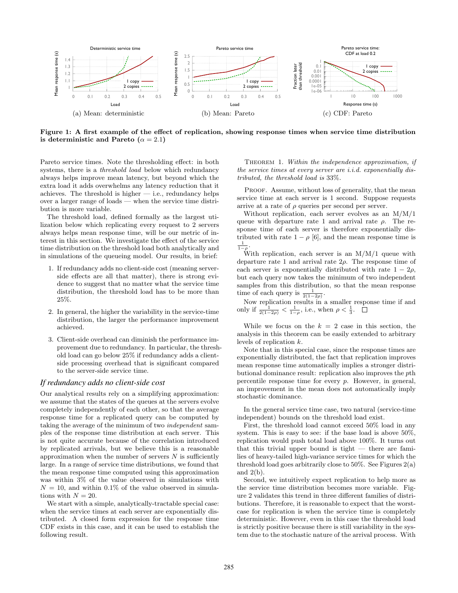

Figure 1: A first example of the effect of replication, showing response times when service time distribution is deterministic and Pareto  $(\alpha = 2.1)$ 

Pareto service times. Note the thresholding effect: in both systems, there is a threshold load below which redundancy always helps improve mean latency, but beyond which the extra load it adds overwhelms any latency reduction that it achieves. The threshold is higher  $-$  i.e., redundancy helps over a larger range of loads — when the service time distribution is more variable.

The threshold load, defined formally as the largest utilization below which replicating every request to 2 servers always helps mean response time, will be our metric of interest in this section. We investigate the effect of the service time distribution on the threshold load both analytically and in simulations of the queueing model. Our results, in brief:

- 1. If redundancy adds no client-side cost (meaning serverside effects are all that matter), there is strong evidence to suggest that no matter what the service time distribution, the threshold load has to be more than 25%.
- 2. In general, the higher the variability in the service-time distribution, the larger the performance improvement achieved.
- 3. Client-side overhead can diminish the performance improvement due to redundancy. In particular, the threshold load can go below 25% if redundancy adds a clientside processing overhead that is significant compared to the server-side service time.

#### *If redundancy adds no client-side cost*

Our analytical results rely on a simplifying approximation: we assume that the states of the queues at the servers evolve completely independently of each other, so that the average response time for a replicated query can be computed by taking the average of the minimum of two independent samples of the response time distribution at each server. This is not quite accurate because of the correlation introduced by replicated arrivals, but we believe this is a reasonable approximation when the number of servers  $N$  is sufficiently large. In a range of service time distributions, we found that the mean response time computed using this approximation was within 3% of the value observed in simulations with  $N = 10$ , and within 0.1% of the value observed in simulations with  $N = 20$ .

We start with a simple, analytically-tractable special case: when the service times at each server are exponentially distributed. A closed form expression for the response time CDF exists in this case, and it can be used to establish the following result.

THEOREM 1. Within the independence approximation, if the service times at every server are i.i.d. exponentially distributed, the threshold load is 33%.

PROOF. Assume, without loss of generality, that the mean service time at each server is 1 second. Suppose requests arrive at a rate of  $\rho$  queries per second per server.

Without replication, each server evolves as an M/M/1 queue with departure rate 1 and arrival rate  $\rho$ . The response time of each server is therefore exponentially distributed with rate  $1 - \rho$  [6], and the mean response time is  $\frac{1}{1-\rho}$ .

With replication, each server is an M/M/1 queue with departure rate 1 and arrival rate  $2\rho$ . The response time of each server is exponentially distributed with rate  $1 - 2\rho$ , but each query now takes the minimum of two independent samples from this distribution, so that the mean response time of each query is  $\frac{1}{2(1-2\rho)}$ .

Now replication results in a smaller response time if and only if  $\frac{1}{2(1-2\rho)} < \frac{1}{1-\rho}$ , i.e., when  $\rho < \frac{1}{3}$ .

While we focus on the  $k = 2$  case in this section, the analysis in this theorem can be easily extended to arbitrary levels of replication k.

Note that in this special case, since the response times are exponentially distributed, the fact that replication improves mean response time automatically implies a stronger distributional dominance result: replication also improves the pth percentile response time for every  $p$ . However, in general, an improvement in the mean does not automatically imply stochastic dominance.

In the general service time case, two natural (service-time independent) bounds on the threshold load exist.

First, the threshold load cannot exceed 50% load in any system. This is easy to see: if the base load is above 50%, replication would push total load above 100%. It turns out that this trivial upper bound is tight  $-$  there are families of heavy-tailed high-variance service times for which the threshold load goes arbitrarily close to  $50\%$ . See Figures  $2(a)$ and  $2(b)$ .

Second, we intuitively expect replication to help more as the service time distribution becomes more variable. Figure 2 validates this trend in three different families of distributions. Therefore, it is reasonable to expect that the worstcase for replication is when the service time is completely deterministic. However, even in this case the threshold load is strictly positive because there is still variability in the system due to the stochastic nature of the arrival process. With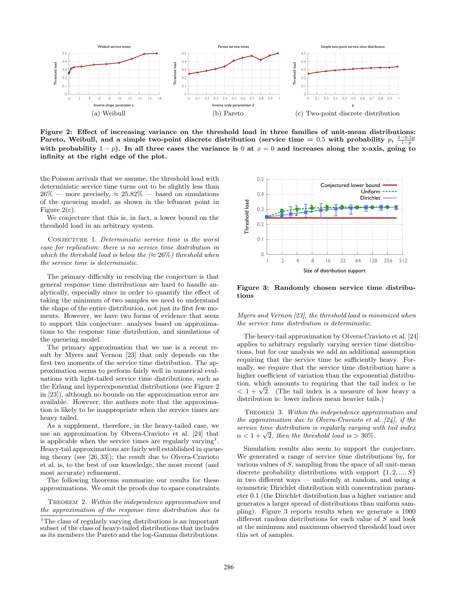

Figure 2: Effect of increasing variance on the threshold load in three families of unit-mean distributions: Pareto, Weibull, and a simple two-point discrete distribution (service time  $= 0.5$  with probability p,  $1-0.5p$  $1-p$ with probability  $1 - p$ ). In all three cases the variance is 0 at  $x = 0$  and increases along the x-axis, going to infinity at the right edge of the plot.

the Poisson arrivals that we assume, the threshold load with deterministic service time turns out to be slightly less than  $26\%$  — more precisely,  $\approx 25.82\%$  — based on simulations of the queueing model, as shown in the leftmost point in Figure 2(c).

We conjecture that this is, in fact, a lower bound on the threshold load in an arbitrary system.

CONJECTURE 1. Deterministic service time is the worst case for replication: there is no service time distribution in which the threshold load is below the  $(\approx 26\%)$  threshold when the service time is deterministic.

The primary difficulty in resolving the conjecture is that general response time distributions are hard to handle analytically, especially since in order to quantify the effect of taking the minimum of two samples we need to understand the shape of the entire distribution, not just its first few moments. However, we have two forms of evidence that seem to support this conjecture: analyses based on approximations to the response time distribution, and simulations of the queueing model.

The primary approximation that we use is a recent result by Myers and Vernon [23] that only depends on the first two moments of the service time distribution. The approximation seems to perform fairly well in numerical evaluations with light-tailed service time distributions, such as the Erlang and hyperexponential distributions (see Figure 2 in [23]), although no bounds on the approximation error are available. However, the authors note that the approximation is likely to be inappropriate when the service times are heavy tailed.

As a supplement, therefore, in the heavy-tailed case, we use an approximation by Olvera-Cravioto et al. [24] that is applicable when the service times are regularly varying<sup>1</sup>. Heavy-tail approximations are fairly well established in queueing theory (see [26, 33]); the result due to Olvera-Cravioto et al. is, to the best of our knowledge, the most recent (and most accurate) refinement.

The following theorems summarize our results for these approximations. We omit the proofs due to space constraints.

THEOREM 2. Within the independence approximation and the approximation of the response time distribution due to



Figure 3: Randomly chosen service time distributions

Myers and Vernon [23], the threshold load is minimized when the service time distribution is deterministic.

The heavy-tail approximation by Olvera-Cravioto et al. [24] applies to arbitrary regularly varying service time distributions, but for our analysis we add an additional assumption requiring that the service time be sufficiently heavy. Formally, we require that the service time distribution have a higher coefficient of variation than the exponential distribution, which amounts to requiring that the tail index  $\alpha$  be tion, which amounts to requiring that the tail index  $\alpha$  be  $\langle 1 + \sqrt{2} \rangle$ . (The tail index is a measure of how heavy a distribution is: lower indices mean heavier tails.)

THEOREM 3. Within the independence approximation and the approximation due to Olvera-Cravioto et al. [24], if the service time distribution is regularly varying with tail index service time aistribution is regularly varying u<br> $\alpha < 1 + \sqrt{2}$ , then the threshold load is  $> 30\%$ .

Simulation results also seem to support the conjecture. We generated a range of service time distributions by, for various values of S, sampling from the space of all unit-mean discrete probability distributions with support  $\{1, 2, ..., S\}$ in two different ways — uniformly at random, and using a symmetric Dirichlet distribution with concentration parameter 0.1 (the Dirichlet distribution has a higher variance and generates a larger spread of distributions than uniform sampling). Figure 3 reports results when we generate a 1000 different random distributions for each value of S and look at the minimum and maximum observed threshold load over this set of samples.

 $^{\rm 1}{\rm The}$  class of regularly varying distributions is an important subset of the class of heavy-tailed distributions that includes as its members the Pareto and the log-Gamma distributions.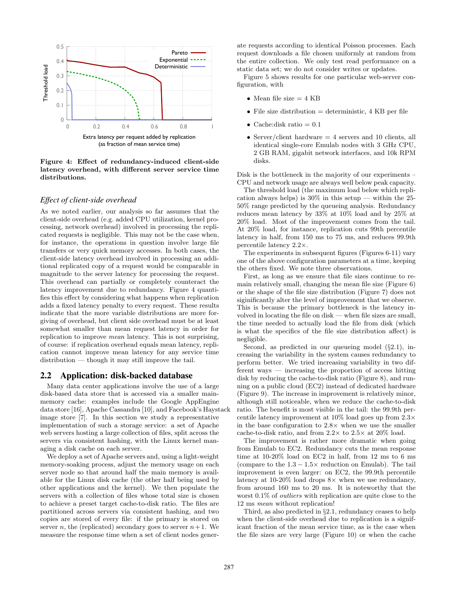

Figure 4: Effect of redundancy-induced client-side latency overhead, with different server service time distributions.

#### *Effect of client-side overhead*

As we noted earlier, our analysis so far assumes that the client-side overhead (e.g. added CPU utilization, kernel processing, network overhead) involved in processing the replicated requests is negligible. This may not be the case when, for instance, the operations in question involve large file transfers or very quick memory accesses. In both cases, the client-side latency overhead involved in processing an additional replicated copy of a request would be comparable in magnitude to the server latency for processing the request. This overhead can partially or completely counteract the latency improvement due to redundancy. Figure 4 quantifies this effect by considering what happens when replication adds a fixed latency penalty to every request. These results indicate that the more variable distributions are more forgiving of overhead, but client side overhead must be at least somewhat smaller than mean request latency in order for replication to improve mean latency. This is not surprising, of course: if replication overhead equals mean latency, replication cannot improve mean latency for any service time distribution — though it may still improve the tail.

## 2.2 Application: disk-backed database

Many data center applications involve the use of a large disk-based data store that is accessed via a smaller mainmemory cache: examples include the Google AppEngine data store [16], Apache Cassandra [10], and Facebook's Haystack image store [7]. In this section we study a representative implementation of such a storage service: a set of Apache web servers hosting a large collection of files, split across the servers via consistent hashing, with the Linux kernel managing a disk cache on each server.

We deploy a set of Apache servers and, using a light-weight memory-soaking process, adjust the memory usage on each server node so that around half the main memory is available for the Linux disk cache (the other half being used by other applications and the kernel). We then populate the servers with a collection of files whose total size is chosen to achieve a preset target cache-to-disk ratio. The files are partitioned across servers via consistent hashing, and two copies are stored of every file: if the primary is stored on server n, the (replicated) secondary goes to server  $n+1$ . We measure the response time when a set of client nodes generate requests according to identical Poisson processes. Each request downloads a file chosen uniformly at random from the entire collection. We only test read performance on a static data set; we do not consider writes or updates.

Figure 5 shows results for one particular web-server configuration, with

- Mean file size  $= 4$  KB
- File size distribution  $=$  deterministic, 4 KB per file
- Cache:disk ratio  $= 0.1$
- Server/client hardware  $= 4$  servers and 10 clients, all identical single-core Emulab nodes with 3 GHz CPU, 2 GB RAM, gigabit network interfaces, and 10k RPM disks.

Disk is the bottleneck in the majority of our experiments – CPU and network usage are always well below peak capacity.

The threshold load (the maximum load below which replication always helps) is  $30\%$  in this setup — within the 25-50% range predicted by the queueing analysis. Redundancy reduces mean latency by 33% at 10% load and by 25% at 20% load. Most of the improvement comes from the tail. At 20% load, for instance, replication cuts 99th percentile latency in half, from 150 ms to 75 ms, and reduces 99.9th percentile latency 2.2×.

The experiments in subsequent figures (Figures 6-11) vary one of the above configuration parameters at a time, keeping the others fixed. We note three observations.

First, as long as we ensure that file sizes continue to remain relatively small, changing the mean file size (Figure 6) or the shape of the file size distribution (Figure 7) does not siginificantly alter the level of improvement that we observe. This is because the primary bottleneck is the latency involved in locating the file on disk — when file sizes are small, the time needed to actually load the file from disk (which is what the specifics of the file size distribution affect) is negligible.

Second, as predicted in our queueing model  $(\S 2.1)$ , increasing the variability in the system causes redundancy to perform better. We tried increasing variability in two different ways — increasing the proportion of access hitting disk by reducing the cache-to-disk ratio (Figure 8), and running on a public cloud (EC2) instead of dedicated hardware (Figure 9). The increase in improvement is relatively minor, although still noticeable, when we reduce the cache-to-disk ratio. The benefit is most visible in the tail: the 99.9th percentile latency improvement at 10% load goes up from 2.3× in the base configuration to  $2.8\times$  when we use the smaller cache-to-disk ratio, and from  $2.2 \times$  to  $2.5 \times$  at  $20\%$  load.

The improvement is rather more dramatic when going from Emulab to EC2. Redundancy cuts the mean response time at 10-20% load on EC2 in half, from 12 ms to 6 ms (compare to the  $1.3 - 1.5 \times$  reduction on Emulab). The tail improvement is even larger: on EC2, the 99.9th percentile latency at  $10{\text -}20\%$  load drops  $8\times$  when we use redundancy, from around 160 ms to 20 ms. It is noteworthy that the worst  $0.1\%$  of *outliers* with replication are quite close to the 12 ms mean without replication!

Third, as also predicted in §2.1, redundancy ceases to help when the client-side overhead due to replication is a significant fraction of the mean service time, as is the case when the file sizes are very large (Figure 10) or when the cache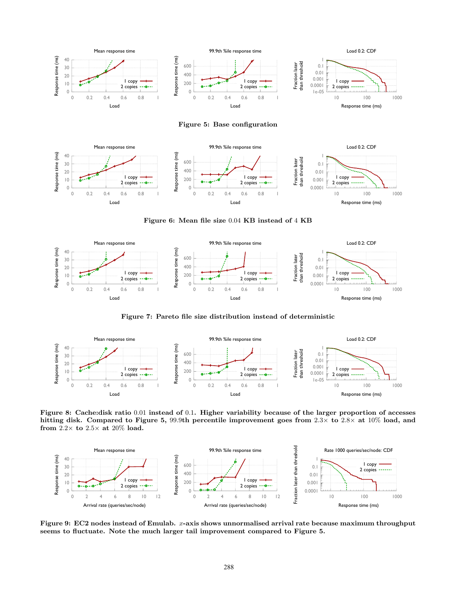

Figure 5: Base configuration



Figure 6: Mean file size 0.04 KB instead of 4 KB



Figure 7: Pareto file size distribution instead of deterministic



Figure 8: Cache:disk ratio 0.01 instead of 0.1. Higher variability because of the larger proportion of accesses hitting disk. Compared to Figure 5, 99.9th percentile improvement goes from 2.3× to 2.8× at 10% load, and from  $2.2\times$  to  $2.5\times$  at 20% load.



Figure 9: EC2 nodes instead of Emulab. x-axis shows unnormalised arrival rate because maximum throughput seems to fluctuate. Note the much larger tail improvement compared to Figure 5.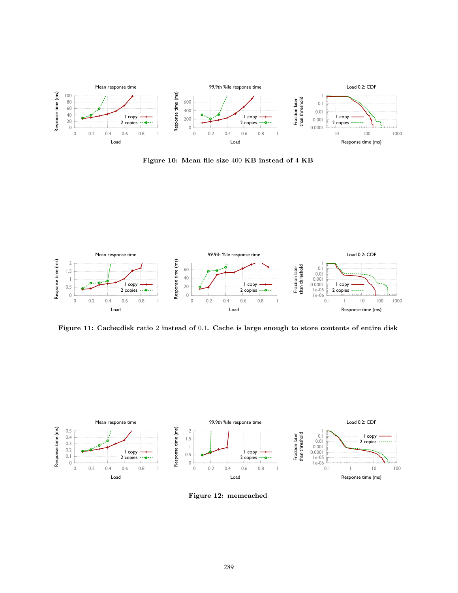

Figure 10: Mean file size 400 KB instead of 4 KB



Figure 11: Cache:disk ratio 2 instead of 0.1. Cache is large enough to store contents of entire disk



Figure 12: memcached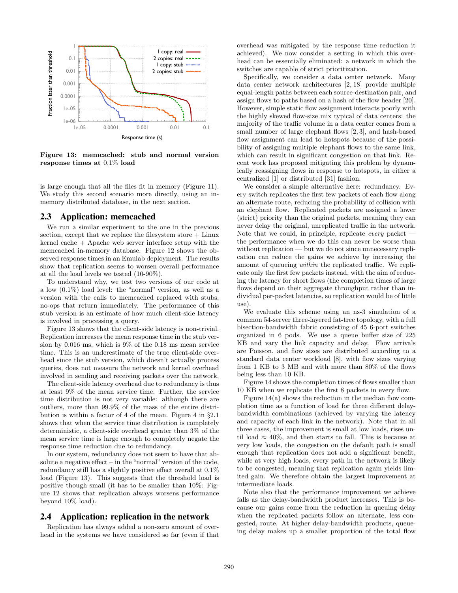

Figure 13: memcached: stub and normal version response times at 0.1% load

is large enough that all the files fit in memory (Figure 11). We study this second scenario more directly, using an inmemory distributed database, in the next section.

#### 2.3 Application: memcached

We run a similar experiment to the one in the previous section, except that we replace the filesystem store  $+$  Linux kernel cache  $+$  Apache web server interface setup with the memcached in-memory database. Figure 12 shows the observed response times in an Emulab deployment. The results show that replication seems to worsen overall performance at all the load levels we tested (10-90%).

To understand why, we test two versions of our code at a low (0.1%) load level: the "normal" version, as well as a version with the calls to memcached replaced with stubs, no-ops that return immediately. The performance of this stub version is an estimate of how much client-side latency is involved in processing a query.

Figure 13 shows that the client-side latency is non-trivial. Replication increases the mean response time in the stub version by 0.016 ms, which is 9% of the 0.18 ms mean service time. This is an underestimate of the true client-side overhead since the stub version, which doesn't actually process queries, does not measure the network and kernel overhead involved in sending and receiving packets over the network.

The client-side latency overhead due to redundancy is thus at least 9% of the mean service time. Further, the service time distribution is not very variable: although there are outliers, more than 99.9% of the mass of the entire distribution is within a factor of 4 of the mean. Figure 4 in §2.1 shows that when the service time distribution is completely deterministic, a client-side overhead greater than 3% of the mean service time is large enough to completely negate the response time reduction due to redundancy.

In our system, redundancy does not seem to have that absolute a negative effect – in the "normal" version of the code, redundancy still has a slightly positive effect overall at 0.1% load (Figure 13). This suggests that the threshold load is positive though small (it has to be smaller than 10%: Figure 12 shows that replication always worsens performance beyond 10% load).

#### 2.4 Application: replication in the network

Replication has always added a non-zero amount of overhead in the systems we have considered so far (even if that overhead was mitigated by the response time reduction it achieved). We now consider a setting in which this overhead can be essentially eliminated: a network in which the switches are capable of strict prioritization.

Specifically, we consider a data center network. Many data center network architectures [2, 18] provide multiple equal-length paths between each source-destination pair, and assign flows to paths based on a hash of the flow header [20]. However, simple static flow assignment interacts poorly with the highly skewed flow-size mix typical of data centers: the majority of the traffic volume in a data center comes from a small number of large elephant flows [2, 3], and hash-based flow assignment can lead to hotspots because of the possibility of assigning multiple elephant flows to the same link, which can result in significant congestion on that link. Recent work has proposed mitigating this problem by dynamically reassigning flows in response to hotspots, in either a centralized [1] or distributed [31] fashion.

We consider a simple alternative here: redundancy. Every switch replicates the first few packets of each flow along an alternate route, reducing the probability of collision with an elephant flow. Replicated packets are assigned a lower (strict) priority than the original packets, meaning they can never delay the original, unreplicated traffic in the network. Note that we could, in principle, replicate *every* packet  $\overline{\phantom{a}}$ the performance when we do this can never be worse than without replication — but we do not since unnecessary replication can reduce the gains we achieve by increasing the amount of queueing within the replicated traffic. We replicate only the first few packets instead, with the aim of reducing the latency for short flows (the completion times of large flows depend on their aggregate throughput rather than individual per-packet latencies, so replication would be of little use).

We evaluate this scheme using an ns-3 simulation of a common 54-server three-layered fat-tree topology, with a full bisection-bandwidth fabric consisting of 45 6-port switches organized in 6 pods. We use a queue buffer size of 225 KB and vary the link capacity and delay. Flow arrivals are Poisson, and flow sizes are distributed according to a standard data center workload [8], with flow sizes varying from 1 KB to 3 MB and with more than 80% of the flows being less than 10 KB.

Figure 14 shows the completion times of flows smaller than 10 KB when we replicate the first 8 packets in every flow.

Figure  $14(a)$  shows the reduction in the median flow completion time as a function of load for three different delaybandwidth combinations (achieved by varying the latency and capacity of each link in the network). Note that in all three cases, the improvement is small at low loads, rises until load  $\approx 40\%$ , and then starts to fall. This is because at very low loads, the congestion on the default path is small enough that replication does not add a significant benefit, while at very high loads, every path in the network is likely to be congested, meaning that replication again yields limited gain. We therefore obtain the largest improvement at intermediate loads.

Note also that the performance improvement we achieve falls as the delay-bandwidth product increases. This is because our gains come from the reduction in queuing delay when the replicated packets follow an alternate, less congested, route. At higher delay-bandwidth products, queueing delay makes up a smaller proportion of the total flow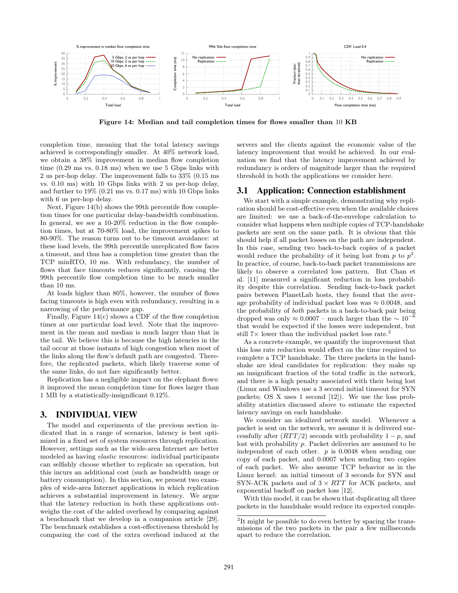

Figure 14: Median and tail completion times for flows smaller than 10 KB

completion time, meaning that the total latency savings achieved is correspondingly smaller. At 40% network load, we obtain a 38% improvement in median flow completion time  $(0.29 \text{ ms vs. } 0.18 \text{ ms})$  when we use 5 Gbps links with 2 us per-hop delay. The improvement falls to 33% (0.15 ms vs. 0.10 ms) with 10 Gbps links with 2 us per-hop delay, and further to 19% (0.21 ms vs. 0.17 ms) with 10 Gbps links with 6 us per-hop delay.

Next, Figure 14(b) shows the 99th percentile flow completion times for one particular delay-bandwidth combination. In general, we see a 10-20% reduction in the flow completion times, but at 70-80% load, the improvement spikes to 80-90%. The reason turns out to be timeout avoidance: at these load levels, the 99th percentile unreplicated flow faces a timeout, and thus has a completion time greater than the TCP minRTO, 10 ms. With redundancy, the number of flows that face timeouts reduces significantly, causing the 99th percentile flow completion time to be much smaller than 10 ms.

At loads higher than 80%, however, the number of flows facing timeouts is high even with redundancy, resulting in a narrowing of the performance gap.

Finally, Figure 14(c) shows a CDF of the flow completion times at one particular load level. Note that the improvement in the mean and median is much larger than that in the tail. We believe this is because the high latencies in the tail occur at those instants of high congestion when most of the links along the flow's default path are congested. Therefore, the replicated packets, which likely traverse some of the same links, do not fare significantly better.

Replication has a negligible impact on the elephant flows: it improved the mean completion time for flows larger than 1 MB by a statistically-insignificant 0.12%.

## 3. INDIVIDUAL VIEW

The model and experiments of the previous section indicated that in a range of scenarios, latency is best optimized in a fixed set of system resources through replication. However, settings such as the wide-area Internet are better modeled as having elastic resources: individual participants can selfishly choose whether to replicate an operation, but this incurs an additional cost (such as bandwidth usage or battery consumption). In this section, we present two examples of wide-area Internet applications in which replication achieves a substantial improvement in latency. We argue that the latency reduction in both these applications outweighs the cost of the added overhead by comparing against a benchmark that we develop in a companion article [29]. The benchmark establishes a cost-effectiveness threshold by comparing the cost of the extra overhead induced at the servers and the clients against the economic value of the latency improvement that would be achieved. In our evaluation we find that the latency improvement achieved by redundancy is orders of magnitude larger than the required threshold in both the applications we consider here.

## 3.1 Application: Connection establishment

We start with a simple example, demonstrating why replication should be cost-effective even when the available choices are limited: we use a back-of-the-envelope calculation to consider what happens when multiple copies of TCP-handshake packets are sent on the same path. It is obvious that this should help if all packet losses on the path are independent. In this case, sending two back-to-back copies of a packet would reduce the probability of it being lost from  $p$  to  $p^2$ . In practice, of course, back-to-back packet transmissions are likely to observe a correlated loss pattern. But Chan et al. [11] measured a significant reduction in loss probability despite this correlation. Sending back-to-back packet pairs between PlanetLab hosts, they found that the average probability of individual packet loss was  $\approx 0.0048$ , and the probability of both packets in a back-to-back pair being dropped was only  $\approx 0.0007$  – much larger than the  $\sim 10^{-6}$ that would be expected if the losses were independent, but still  $7\times$  lower than the individual packet loss rate.<sup>2</sup>

As a concrete example, we quantify the improvement that this loss rate reduction would effect on the time required to complete a TCP handshake. The three packets in the handshake are ideal candidates for replication: they make up an insignificant fraction of the total traffic in the network, and there is a high penalty associated with their being lost (Linux and Windows use a 3 second initial timeout for SYN packets; OS X uses 1 second [12]). We use the loss probability statistics discussed above to estimate the expected latency savings on each handshake.

We consider an idealized network model. Whenever a packet is sent on the network, we assume it is delivered successfully after  $(RTT/2)$  seconds with probability  $1 - p$ , and lost with probability p. Packet deliveries are assumed to be independent of each other.  $p$  is 0.0048 when sending one copy of each packet, and 0.0007 when sending two copies of each packet. We also assume TCP behavior as in the Linux kernel: an initial timeout of 3 seconds for SYN and SYN-ACK packets and of  $3 \times RTT$  for ACK packets, and exponential backoff on packet loss [12].

With this model, it can be shown that duplicating all three packets in the handshake would reduce its expected comple-

<sup>&</sup>lt;sup>2</sup>It might be possible to do even better by spacing the transmissions of the two packets in the pair a few milliseconds apart to reduce the correlation.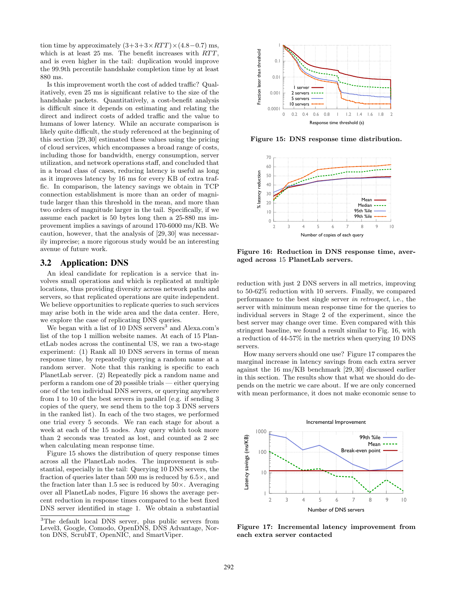tion time by approximately  $(3+3+3\times RTT)\times(4.8-0.7)$  ms, which is at least  $25$  ms. The benefit increases with  $RTT$ , and is even higher in the tail: duplication would improve the 99.9th percentile handshake completion time by at least 880 ms.

Is this improvement worth the cost of added traffic? Qualitatively, even 25 ms is significant relative to the size of the handshake packets. Quantitatively, a cost-benefit analysis is difficult since it depends on estimating and relating the direct and indirect costs of added traffic and the value to humans of lower latency. While an accurate comparison is likely quite difficult, the study referenced at the beginning of this section [29, 30] estimated these values using the pricing of cloud services, which encompasses a broad range of costs, including those for bandwidth, energy consumption, server utilization, and network operations staff, and concluded that in a broad class of cases, reducing latency is useful as long as it improves latency by 16 ms for every KB of extra traffic. In comparison, the latency savings we obtain in TCP connection establishment is more than an order of magnitude larger than this threshold in the mean, and more than two orders of magnitude larger in the tail. Specifically, if we assume each packet is 50 bytes long then a 25-880 ms improvement implies a savings of around 170-6000 ms/KB. We caution, however, that the analysis of [29, 30] was necessarily imprecise; a more rigorous study would be an interesting avenue of future work.

## 3.2 Application: DNS

An ideal candidate for replication is a service that involves small operations and which is replicated at multiple locations, thus providing diversity across network paths and servers, so that replicated operations are quite independent. We believe opportunities to replicate queries to such services may arise both in the wide area and the data center. Here, we explore the case of replicating DNS queries.

We began with a list of 10 DNS servers<sup>3</sup> and Alexa.com's list of the top 1 million website names. At each of 15 PlanetLab nodes across the continental US, we ran a two-stage experiment: (1) Rank all 10 DNS servers in terms of mean response time, by repeatedly querying a random name at a random server. Note that this ranking is specific to each PlanetLab server. (2) Repeatedly pick a random name and perform a random one of 20 possible trials — either querying one of the ten individual DNS servers, or querying anywhere from 1 to 10 of the best servers in parallel (e.g. if sending 3 copies of the query, we send them to the top 3 DNS servers in the ranked list). In each of the two stages, we performed one trial every 5 seconds. We ran each stage for about a week at each of the 15 nodes. Any query which took more than 2 seconds was treated as lost, and counted as 2 sec when calculating mean response time.

Figure 15 shows the distribution of query response times across all the PlanetLab nodes. The improvement is substantial, especially in the tail: Querying 10 DNS servers, the fraction of queries later than 500 ms is reduced by 6.5×, and the fraction later than 1.5 sec is reduced by  $50 \times$ . Averaging over all PlanetLab nodes, Figure 16 shows the average percent reduction in response times compared to the best fixed DNS server identified in stage 1. We obtain a substantial



Figure 15: DNS response time distribution.



Figure 16: Reduction in DNS response time, averaged across 15 PlanetLab servers.

reduction with just 2 DNS servers in all metrics, improving to 50-62% reduction with 10 servers. Finally, we compared performance to the best single server in retrospect, i.e., the server with minimum mean response time for the queries to individual servers in Stage 2 of the experiment, since the best server may change over time. Even compared with this stringent baseline, we found a result similar to Fig. 16, with a reduction of 44-57% in the metrics when querying 10 DNS servers.

How many servers should one use? Figure 17 compares the marginal increase in latency savings from each extra server against the 16 ms/KB benchmark [29, 30] discussed earlier in this section. The results show that what we should do depends on the metric we care about. If we are only concerned with mean performance, it does not make economic sense to



Figure 17: Incremental latency improvement from each extra server contacted

<sup>&</sup>lt;sup>3</sup>The default local DNS server, plus public servers from Level3, Google, Comodo, OpenDNS, DNS Advantage, Norton DNS, ScrubIT, OpenNIC, and SmartViper.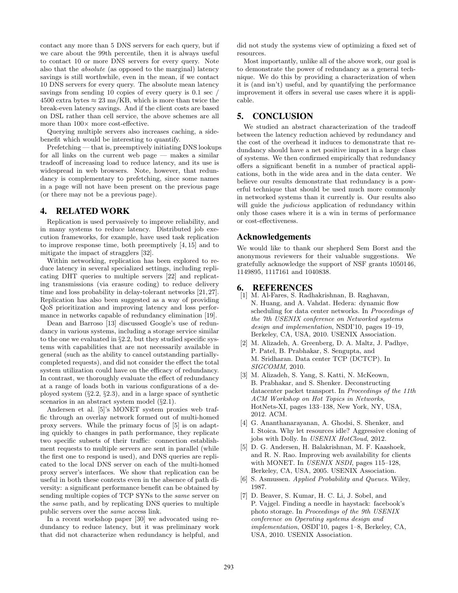contact any more than 5 DNS servers for each query, but if we care about the 99th percentile, then it is always useful to contact 10 or more DNS servers for every query. Note also that the absolute (as opposed to the marginal) latency savings is still worthwhile, even in the mean, if we contact 10 DNS servers for every query. The absolute mean latency savings from sending 10 copies of every query is 0.1 sec / 4500 extra bytes  $\approx 23 \text{ ms/KB}$ , which is more than twice the break-even latency savings. And if the client costs are based on DSL rather than cell service, the above schemes are all more than  $100\times$  more cost-effective.

Querying multiple servers also increases caching, a sidebenefit which would be interesting to quantify.

Prefetching — that is, preemptively initiating DNS lookups for all links on the current web page — makes a similar tradeoff of increasing load to reduce latency, and its use is widespread in web browsers. Note, however, that redundancy is complementary to prefetching, since some names in a page will not have been present on the previous page (or there may not be a previous page).

## 4. RELATED WORK

Replication is used pervasively to improve reliability, and in many systems to reduce latency. Distributed job execution frameworks, for example, have used task replication to improve response time, both preemptively [4, 15] and to mitigate the impact of stragglers [32].

Within networking, replication has been explored to reduce latency in several specialized settings, including replicating DHT queries to multiple servers [22] and replicating transmissions (via erasure coding) to reduce delivery time and loss probability in delay-tolerant networks [21, 27]. Replication has also been suggested as a way of providing QoS prioritization and improving latency and loss performance in networks capable of redundancy elimination [19].

Dean and Barroso [13] discussed Google's use of redundancy in various systems, including a storage service similar to the one we evaluated in §2.2, but they studied specific systems with capabilities that are not necessarily available in general (such as the ability to cancel outstanding partiallycompleted requests), and did not consider the effect the total system utilization could have on the efficacy of redundancy. In contrast, we thoroughly evaluate the effect of redundancy at a range of loads both in various configurations of a deployed system (§2.2, §2.3), and in a large space of synthetic scenarios in an abstract system model (§2.1).

Andersen et al. [5]'s MONET system proxies web traffic through an overlay network formed out of multi-homed proxy servers. While the primary focus of [5] is on adapting quickly to changes in path performance, they replicate two specific subsets of their traffic: connection establishment requests to multiple servers are sent in parallel (while the first one to respond is used), and DNS queries are replicated to the local DNS server on each of the multi-homed proxy server's interfaces. We show that replication can be useful in both these contexts even in the absence of path diversity: a significant performance benefit can be obtained by sending multiple copies of TCP SYNs to the same server on the same path, and by replicating DNS queries to multiple public servers over the same access link.

In a recent workshop paper [30] we advocated using redundancy to reduce latency, but it was preliminary work that did not characterize when redundancy is helpful, and

did not study the systems view of optimizing a fixed set of resources.

Most importantly, unlike all of the above work, our goal is to demonstrate the power of redundancy as a general technique. We do this by providing a characterization of when it is (and isn't) useful, and by quantifying the performance improvement it offers in several use cases where it is applicable.

# 5. CONCLUSION

We studied an abstract characterization of the tradeoff between the latency reduction achieved by redundancy and the cost of the overhead it induces to demonstrate that redundancy should have a net positive impact in a large class of systems. We then confirmed empirically that redundancy offers a significant benefit in a number of practical applications, both in the wide area and in the data center. We believe our results demonstrate that redundancy is a powerful technique that should be used much more commonly in networked systems than it currently is. Our results also will guide the *judicious* application of redundancy within only those cases where it is a win in terms of performance or cost-effectiveness.

## Acknowledgements

We would like to thank our shepherd Sem Borst and the anonymous reviewers for their valuable suggestions. We gratefully acknowledge the support of NSF grants 1050146, 1149895, 1117161 and 1040838.

## 6. REFERENCES

- [1] M. Al-Fares, S. Radhakrishnan, B. Raghavan, N. Huang, and A. Vahdat. Hedera: dynamic flow scheduling for data center networks. In Proceedings of the 7th USENIX conference on Networked systems design and implementation, NSDI'10, pages 19–19, Berkeley, CA, USA, 2010. USENIX Association.
- [2] M. Alizadeh, A. Greenberg, D. A. Maltz, J. Padhye, P. Patel, B. Prabhakar, S. Sengupta, and M. Sridharan. Data center TCP (DCTCP). In SIGCOMM, 2010.
- [3] M. Alizadeh, S. Yang, S. Katti, N. McKeown, B. Prabhakar, and S. Shenker. Deconstructing datacenter packet transport. In Proceedings of the 11th ACM Workshop on Hot Topics in Networks, HotNets-XI, pages 133–138, New York, NY, USA, 2012. ACM.
- [4] G. Ananthanarayanan, A. Ghodsi, S. Shenker, and I. Stoica. Why let resources idle? Aggressive cloning of jobs with Dolly. In USENIX HotCloud, 2012.
- [5] D. G. Andersen, H. Balakrishnan, M. F. Kaashoek, and R. N. Rao. Improving web availability for clients with MONET. In *USENIX NSDI*, pages 115–128, Berkeley, CA, USA, 2005. USENIX Association.
- [6] S. Asmussen. Applied Probability and Queues. Wiley, 1987.
- [7] D. Beaver, S. Kumar, H. C. Li, J. Sobel, and P. Vajgel. Finding a needle in haystack: facebook's photo storage. In Proceedings of the 9th USENIX conference on Operating systems design and implementation, OSDI'10, pages 1–8, Berkeley, CA, USA, 2010. USENIX Association.